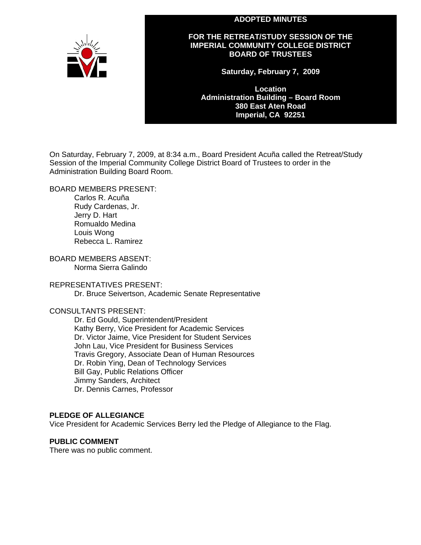#### **ADOPTED MINUTES**



**FOR THE RETREAT/STUDY SESSION OF THE IMPERIAL COMMUNITY COLLEGE DISTRICT BOARD OF TRUSTEES** 

**Saturday, February 7, 2009** 

**Location Administration Building – Board Room 380 East Aten Road Imperial, CA 92251** 

On Saturday, February 7, 2009, at 8:34 a.m., Board President Acuña called the Retreat/Study Session of the Imperial Community College District Board of Trustees to order in the Administration Building Board Room.

BOARD MEMBERS PRESENT:

Carlos R. Acuña Rudy Cardenas, Jr. Jerry D. Hart Romualdo Medina Louis Wong Rebecca L. Ramirez

BOARD MEMBERS ABSENT: Norma Sierra Galindo

REPRESENTATIVES PRESENT:

Dr. Bruce Seivertson, Academic Senate Representative

### CONSULTANTS PRESENT:

Dr. Ed Gould, Superintendent/President Kathy Berry, Vice President for Academic Services Dr. Victor Jaime, Vice President for Student Services John Lau, Vice President for Business Services Travis Gregory, Associate Dean of Human Resources Dr. Robin Ying, Dean of Technology Services Bill Gay, Public Relations Officer Jimmy Sanders, Architect Dr. Dennis Carnes, Professor

#### **PLEDGE OF ALLEGIANCE**

Vice President for Academic Services Berry led the Pledge of Allegiance to the Flag.

#### **PUBLIC COMMENT**

There was no public comment.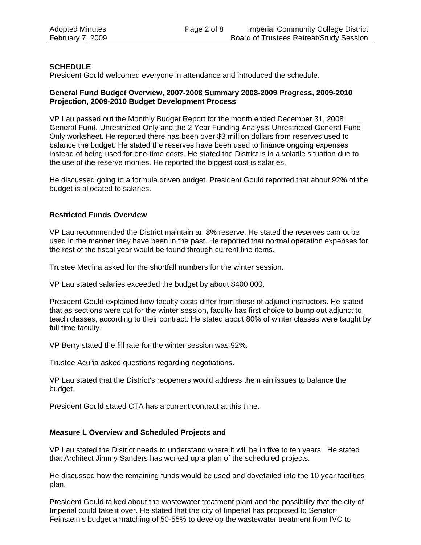## **SCHEDULE**

President Gould welcomed everyone in attendance and introduced the schedule.

### **General Fund Budget Overview, 2007-2008 Summary 2008-2009 Progress, 2009-2010 Projection, 2009-2010 Budget Development Process**

VP Lau passed out the Monthly Budget Report for the month ended December 31, 2008 General Fund, Unrestricted Only and the 2 Year Funding Analysis Unrestricted General Fund Only worksheet. He reported there has been over \$3 million dollars from reserves used to balance the budget. He stated the reserves have been used to finance ongoing expenses instead of being used for one-time costs. He stated the District is in a volatile situation due to the use of the reserve monies. He reported the biggest cost is salaries.

He discussed going to a formula driven budget. President Gould reported that about 92% of the budget is allocated to salaries.

## **Restricted Funds Overview**

VP Lau recommended the District maintain an 8% reserve. He stated the reserves cannot be used in the manner they have been in the past. He reported that normal operation expenses for the rest of the fiscal year would be found through current line items.

Trustee Medina asked for the shortfall numbers for the winter session.

VP Lau stated salaries exceeded the budget by about \$400,000.

President Gould explained how faculty costs differ from those of adjunct instructors. He stated that as sections were cut for the winter session, faculty has first choice to bump out adjunct to teach classes, according to their contract. He stated about 80% of winter classes were taught by full time faculty.

VP Berry stated the fill rate for the winter session was 92%.

Trustee Acuña asked questions regarding negotiations.

VP Lau stated that the District's reopeners would address the main issues to balance the budget.

President Gould stated CTA has a current contract at this time.

## **Measure L Overview and Scheduled Projects and**

VP Lau stated the District needs to understand where it will be in five to ten years. He stated that Architect Jimmy Sanders has worked up a plan of the scheduled projects.

He discussed how the remaining funds would be used and dovetailed into the 10 year facilities plan.

President Gould talked about the wastewater treatment plant and the possibility that the city of Imperial could take it over. He stated that the city of Imperial has proposed to Senator Feinstein's budget a matching of 50-55% to develop the wastewater treatment from IVC to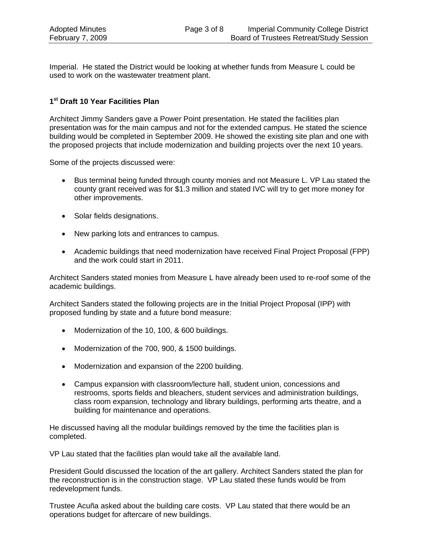Imperial. He stated the District would be looking at whether funds from Measure L could be used to work on the wastewater treatment plant.

## **1st Draft 10 Year Facilities Plan**

Architect Jimmy Sanders gave a Power Point presentation. He stated the facilities plan presentation was for the main campus and not for the extended campus. He stated the science building would be completed in September 2009. He showed the existing site plan and one with the proposed projects that include modernization and building projects over the next 10 years.

Some of the projects discussed were:

- Bus terminal being funded through county monies and not Measure L. VP Lau stated the county grant received was for \$1.3 million and stated IVC will try to get more money for other improvements.
- Solar fields designations.
- New parking lots and entrances to campus.
- Academic buildings that need modernization have received Final Project Proposal (FPP) and the work could start in 2011.

Architect Sanders stated monies from Measure L have already been used to re-roof some of the academic buildings.

Architect Sanders stated the following projects are in the Initial Project Proposal (IPP) with proposed funding by state and a future bond measure:

- Modernization of the 10, 100, & 600 buildings.
- Modernization of the 700, 900, & 1500 buildings.
- Modernization and expansion of the 2200 building.
- Campus expansion with classroom/lecture hall, student union, concessions and restrooms, sports fields and bleachers, student services and administration buildings, class room expansion, technology and library buildings, performing arts theatre, and a building for maintenance and operations.

He discussed having all the modular buildings removed by the time the facilities plan is completed.

VP Lau stated that the facilities plan would take all the available land.

President Gould discussed the location of the art gallery. Architect Sanders stated the plan for the reconstruction is in the construction stage. VP Lau stated these funds would be from redevelopment funds.

Trustee Acuña asked about the building care costs. VP Lau stated that there would be an operations budget for aftercare of new buildings.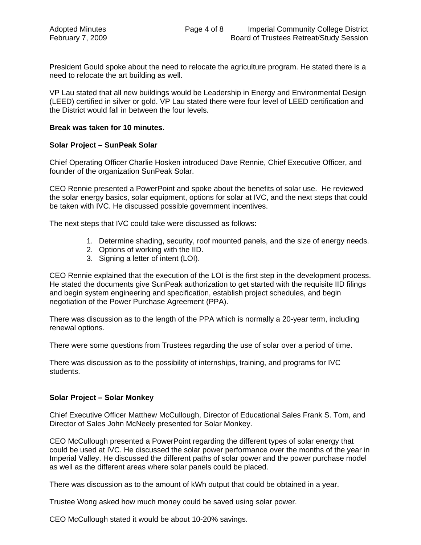President Gould spoke about the need to relocate the agriculture program. He stated there is a need to relocate the art building as well.

VP Lau stated that all new buildings would be Leadership in Energy and Environmental Design (LEED) certified in silver or gold. VP Lau stated there were four level of LEED certification and the District would fall in between the four levels.

#### **Break was taken for 10 minutes.**

#### **Solar Project – SunPeak Solar**

Chief Operating Officer Charlie Hosken introduced Dave Rennie, Chief Executive Officer, and founder of the organization SunPeak Solar.

CEO Rennie presented a PowerPoint and spoke about the benefits of solar use. He reviewed the solar energy basics, solar equipment, options for solar at IVC, and the next steps that could be taken with IVC. He discussed possible government incentives.

The next steps that IVC could take were discussed as follows:

- 1. Determine shading, security, roof mounted panels, and the size of energy needs.
- 2. Options of working with the IID.
- 3. Signing a letter of intent (LOI).

CEO Rennie explained that the execution of the LOI is the first step in the development process. He stated the documents give SunPeak authorization to get started with the requisite IID filings and begin system engineering and specification, establish project schedules, and begin negotiation of the Power Purchase Agreement (PPA).

There was discussion as to the length of the PPA which is normally a 20-year term, including renewal options.

There were some questions from Trustees regarding the use of solar over a period of time.

There was discussion as to the possibility of internships, training, and programs for IVC students.

#### **Solar Project – Solar Monkey**

Chief Executive Officer Matthew McCullough, Director of Educational Sales Frank S. Tom, and Director of Sales John McNeely presented for Solar Monkey.

CEO McCullough presented a PowerPoint regarding the different types of solar energy that could be used at IVC. He discussed the solar power performance over the months of the year in Imperial Valley. He discussed the different paths of solar power and the power purchase model as well as the different areas where solar panels could be placed.

There was discussion as to the amount of kWh output that could be obtained in a year.

Trustee Wong asked how much money could be saved using solar power.

CEO McCullough stated it would be about 10-20% savings.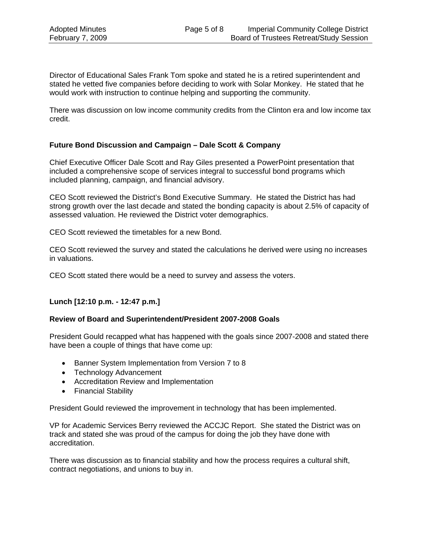Director of Educational Sales Frank Tom spoke and stated he is a retired superintendent and stated he vetted five companies before deciding to work with Solar Monkey. He stated that he would work with instruction to continue helping and supporting the community.

There was discussion on low income community credits from the Clinton era and low income tax credit.

### **Future Bond Discussion and Campaign – Dale Scott & Company**

Chief Executive Officer Dale Scott and Ray Giles presented a PowerPoint presentation that included a comprehensive scope of services integral to successful bond programs which included planning, campaign, and financial advisory.

CEO Scott reviewed the District's Bond Executive Summary. He stated the District has had strong growth over the last decade and stated the bonding capacity is about 2.5% of capacity of assessed valuation. He reviewed the District voter demographics.

CEO Scott reviewed the timetables for a new Bond.

CEO Scott reviewed the survey and stated the calculations he derived were using no increases in valuations.

CEO Scott stated there would be a need to survey and assess the voters.

#### **Lunch [12:10 p.m. - 12:47 p.m.]**

#### **Review of Board and Superintendent/President 2007-2008 Goals**

President Gould recapped what has happened with the goals since 2007-2008 and stated there have been a couple of things that have come up:

- Banner System Implementation from Version 7 to 8
- Technology Advancement
- Accreditation Review and Implementation
- Financial Stability

President Gould reviewed the improvement in technology that has been implemented.

VP for Academic Services Berry reviewed the ACCJC Report. She stated the District was on track and stated she was proud of the campus for doing the job they have done with accreditation.

There was discussion as to financial stability and how the process requires a cultural shift, contract negotiations, and unions to buy in.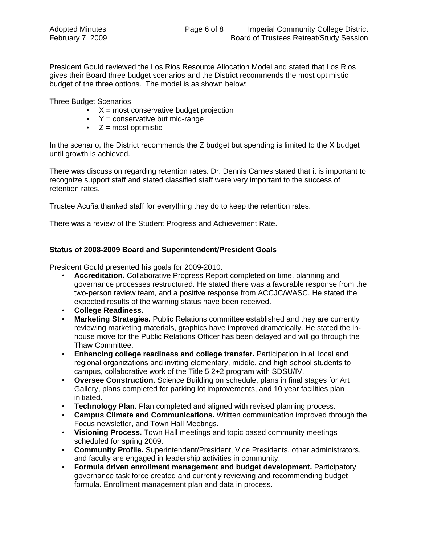President Gould reviewed the Los Rios Resource Allocation Model and stated that Los Rios gives their Board three budget scenarios and the District recommends the most optimistic budget of the three options. The model is as shown below:

Three Budget Scenarios

- $\cdot$   $X =$  most conservative budget projection
- $\cdot$  Y = conservative but mid-range
- $\bullet$   $Z = \text{most optimistic}$

In the scenario, the District recommends the Z budget but spending is limited to the X budget until growth is achieved.

There was discussion regarding retention rates. Dr. Dennis Carnes stated that it is important to recognize support staff and stated classified staff were very important to the success of retention rates.

Trustee Acuña thanked staff for everything they do to keep the retention rates.

There was a review of the Student Progress and Achievement Rate.

## **Status of 2008-2009 Board and Superintendent/President Goals**

President Gould presented his goals for 2009-2010.

- **Accreditation.** Collaborative Progress Report completed on time, planning and governance processes restructured. He stated there was a favorable response from the two-person review team, and a positive response from ACCJC/WASC. He stated the expected results of the warning status have been received.
- **College Readiness.**
- **Marketing Strategies.** Public Relations committee established and they are currently reviewing marketing materials, graphics have improved dramatically. He stated the inhouse move for the Public Relations Officer has been delayed and will go through the Thaw Committee.
- **Enhancing college readiness and college transfer.** Participation in all local and regional organizations and inviting elementary, middle, and high school students to campus, collaborative work of the Title 5 2+2 program with SDSU/IV.
- **Oversee Construction.** Science Building on schedule, plans in final stages for Art Gallery, plans completed for parking lot improvements, and 10 year facilities plan initiated.
- **Technology Plan.** Plan completed and aligned with revised planning process.
- **Campus Climate and Communications.** Written communication improved through the Focus newsletter, and Town Hall Meetings.
- **Visioning Process.** Town Hall meetings and topic based community meetings scheduled for spring 2009.
- **Community Profile.** Superintendent/President, Vice Presidents, other administrators, and faculty are engaged in leadership activities in community.
- **Formula driven enrollment management and budget development.** Participatory governance task force created and currently reviewing and recommending budget formula. Enrollment management plan and data in process.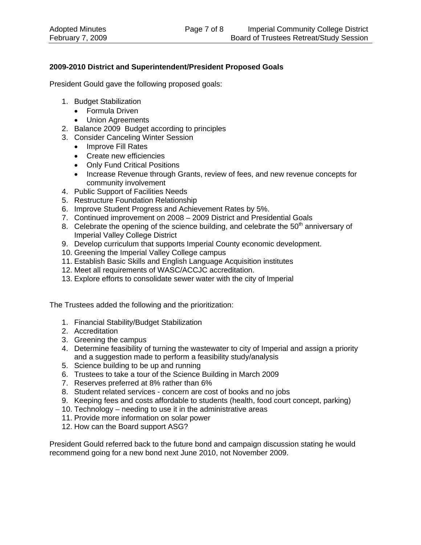# **2009-2010 District and Superintendent/President Proposed Goals**

President Gould gave the following proposed goals:

- 1. Budget Stabilization
	- Formula Driven
	- Union Agreements
- 2. Balance 2009 Budget according to principles
- 3. Consider Canceling Winter Session
	- Improve Fill Rates
	- Create new efficiencies
	- Only Fund Critical Positions
	- Increase Revenue through Grants, review of fees, and new revenue concepts for community involvement
- 4. Public Support of Facilities Needs
- 5. Restructure Foundation Relationship
- 6. Improve Student Progress and Achievement Rates by 5%.
- 7. Continued improvement on 2008 2009 District and Presidential Goals
- 8. Celebrate the opening of the science building, and celebrate the  $50<sup>th</sup>$  anniversary of Imperial Valley College District
- 9. Develop curriculum that supports Imperial County economic development.
- 10. Greening the Imperial Valley College campus
- 11. Establish Basic Skills and English Language Acquisition institutes
- 12. Meet all requirements of WASC/ACCJC accreditation.
- 13. Explore efforts to consolidate sewer water with the city of Imperial

The Trustees added the following and the prioritization:

- 1. Financial Stability/Budget Stabilization
- 2. Accreditation
- 3. Greening the campus
- 4. Determine feasibility of turning the wastewater to city of Imperial and assign a priority and a suggestion made to perform a feasibility study/analysis
- 5. Science building to be up and running
- 6. Trustees to take a tour of the Science Building in March 2009
- 7. Reserves preferred at 8% rather than 6%
- 8. Student related services concern are cost of books and no jobs
- 9. Keeping fees and costs affordable to students (health, food court concept, parking)
- 10. Technology needing to use it in the administrative areas
- 11. Provide more information on solar power
- 12. How can the Board support ASG?

President Gould referred back to the future bond and campaign discussion stating he would recommend going for a new bond next June 2010, not November 2009.